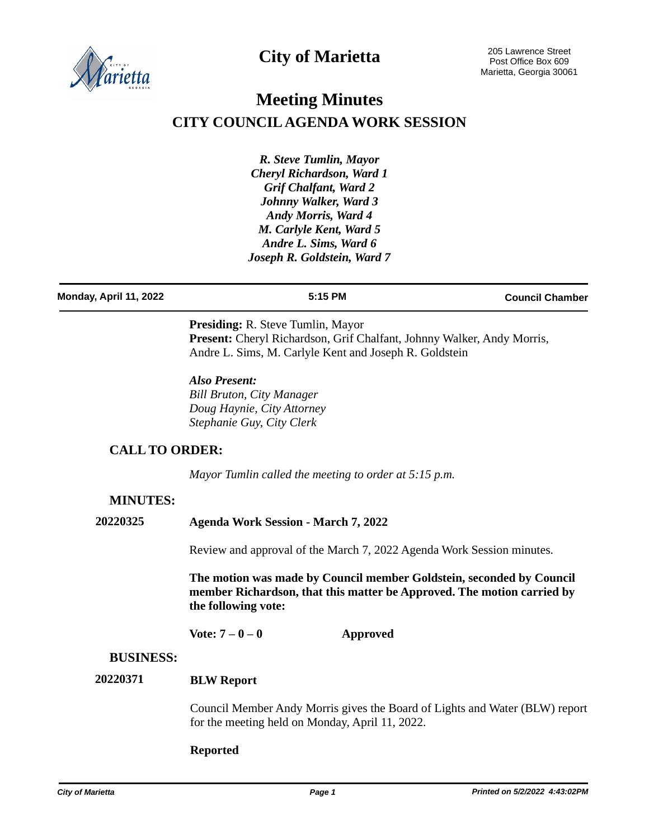

# **City of Marietta**

# **Meeting Minutes CITY COUNCIL AGENDA WORK SESSION**

*R. Steve Tumlin, Mayor Cheryl Richardson, Ward 1 Grif Chalfant, Ward 2 Johnny Walker, Ward 3 Andy Morris, Ward 4 M. Carlyle Kent, Ward 5 Andre L. Sims, Ward 6 Joseph R. Goldstein, Ward 7*

**Monday, April 11, 2022 5:15 PM Council Chamber**

**Presiding:** R. Steve Tumlin, Mayor Present: Cheryl Richardson, Grif Chalfant, Johnny Walker, Andy Morris, Andre L. Sims, M. Carlyle Kent and Joseph R. Goldstein

*Also Present: Bill Bruton, City Manager Doug Haynie, City Attorney Stephanie Guy, City Clerk*

# **CALL TO ORDER:**

*Mayor Tumlin called the meeting to order at 5:15 p.m.*

# **MINUTES:**

**20220325 Agenda Work Session - March 7, 2022**

Review and approval of the March 7, 2022 Agenda Work Session minutes.

**The motion was made by Council member Goldstein, seconded by Council member Richardson, that this matter be Approved. The motion carried by the following vote:**

**Vote: 7 – 0 – 0 Approved**

## **BUSINESS:**

#### **BLW Report 20220371**

Council Member Andy Morris gives the Board of Lights and Water (BLW) report for the meeting held on Monday, April 11, 2022.

### **Reported**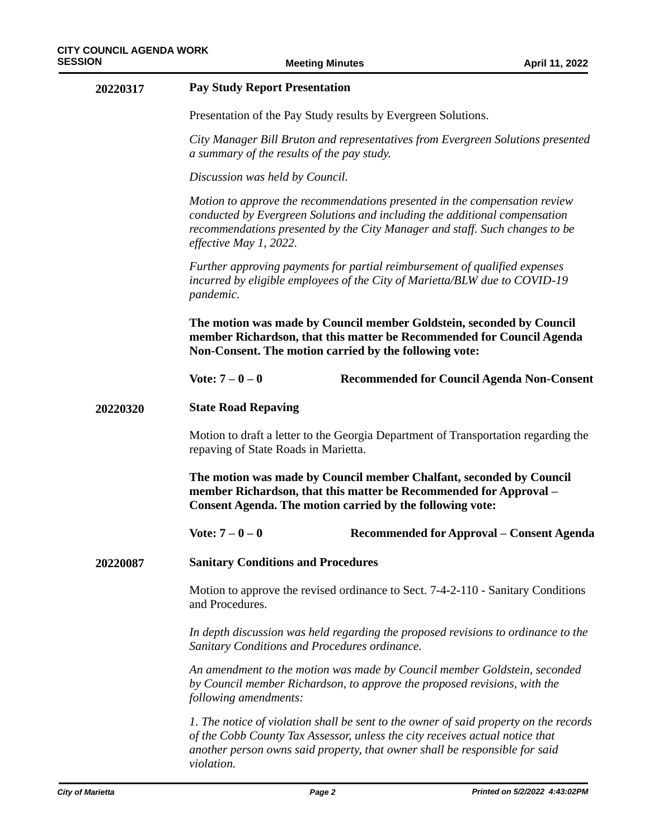| 20220317 | <b>Pay Study Report Presentation</b>                                                                                                                                                                                                                              |                                                                                                                                                                                                                                                      |  |
|----------|-------------------------------------------------------------------------------------------------------------------------------------------------------------------------------------------------------------------------------------------------------------------|------------------------------------------------------------------------------------------------------------------------------------------------------------------------------------------------------------------------------------------------------|--|
|          | Presentation of the Pay Study results by Evergreen Solutions.                                                                                                                                                                                                     |                                                                                                                                                                                                                                                      |  |
|          | City Manager Bill Bruton and representatives from Evergreen Solutions presented<br>a summary of the results of the pay study.                                                                                                                                     |                                                                                                                                                                                                                                                      |  |
|          | Discussion was held by Council.                                                                                                                                                                                                                                   |                                                                                                                                                                                                                                                      |  |
|          | Motion to approve the recommendations presented in the compensation review<br>conducted by Evergreen Solutions and including the additional compensation<br>recommendations presented by the City Manager and staff. Such changes to be<br>effective May 1, 2022. |                                                                                                                                                                                                                                                      |  |
|          | Further approving payments for partial reimbursement of qualified expenses<br>incurred by eligible employees of the City of Marietta/BLW due to COVID-19<br>pandemic.                                                                                             |                                                                                                                                                                                                                                                      |  |
|          | The motion was made by Council member Goldstein, seconded by Council<br>member Richardson, that this matter be Recommended for Council Agenda<br>Non-Consent. The motion carried by the following vote:                                                           |                                                                                                                                                                                                                                                      |  |
|          | Vote: $7 - 0 - 0$                                                                                                                                                                                                                                                 | <b>Recommended for Council Agenda Non-Consent</b>                                                                                                                                                                                                    |  |
| 20220320 | <b>State Road Repaving</b>                                                                                                                                                                                                                                        |                                                                                                                                                                                                                                                      |  |
|          | Motion to draft a letter to the Georgia Department of Transportation regarding the<br>repaving of State Roads in Marietta.                                                                                                                                        |                                                                                                                                                                                                                                                      |  |
|          | The motion was made by Council member Chalfant, seconded by Council<br>member Richardson, that this matter be Recommended for Approval -<br>Consent Agenda. The motion carried by the following vote:                                                             |                                                                                                                                                                                                                                                      |  |
|          | Vote: $7 - 0 - 0$                                                                                                                                                                                                                                                 | Recommended for Approval – Consent Agenda                                                                                                                                                                                                            |  |
| 20220087 | <b>Sanitary Conditions and Procedures</b>                                                                                                                                                                                                                         |                                                                                                                                                                                                                                                      |  |
|          | Motion to approve the revised ordinance to Sect. 7-4-2-110 - Sanitary Conditions<br>and Procedures.                                                                                                                                                               |                                                                                                                                                                                                                                                      |  |
|          | In depth discussion was held regarding the proposed revisions to ordinance to the<br>Sanitary Conditions and Procedures ordinance.                                                                                                                                |                                                                                                                                                                                                                                                      |  |
|          | An amendment to the motion was made by Council member Goldstein, seconded<br>by Council member Richardson, to approve the proposed revisions, with the<br>following amendments:                                                                                   |                                                                                                                                                                                                                                                      |  |
|          | violation.                                                                                                                                                                                                                                                        | 1. The notice of violation shall be sent to the owner of said property on the records<br>of the Cobb County Tax Assessor, unless the city receives actual notice that<br>another person owns said property, that owner shall be responsible for said |  |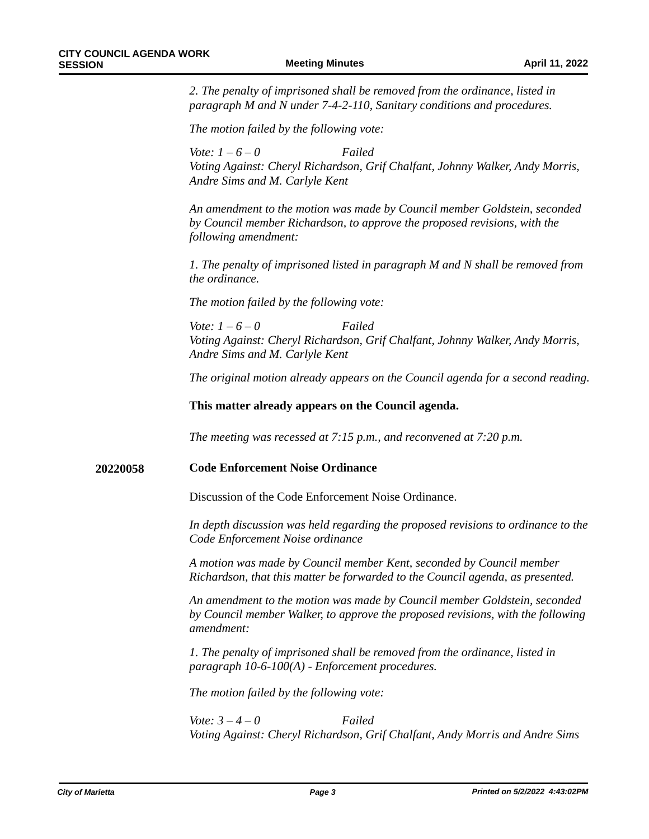*2. The penalty of imprisoned shall be removed from the ordinance, listed in paragraph M and N under 7-4-2-110, Sanitary conditions and procedures.*

*The motion failed by the following vote:*

*Vote: 1 – 6 – 0 Failed Voting Against: Cheryl Richardson, Grif Chalfant, Johnny Walker, Andy Morris, Andre Sims and M. Carlyle Kent* 

*An amendment to the motion was made by Council member Goldstein, seconded by Council member Richardson, to approve the proposed revisions, with the following amendment:*

*1. The penalty of imprisoned listed in paragraph M and N shall be removed from the ordinance.*

*The motion failed by the following vote:*

*Vote: 1 – 6 – 0 Failed Voting Against: Cheryl Richardson, Grif Chalfant, Johnny Walker, Andy Morris, Andre Sims and M. Carlyle Kent*

*The original motion already appears on the Council agenda for a second reading.*

**This matter already appears on the Council agenda.**

*The meeting was recessed at 7:15 p.m., and reconvened at 7:20 p.m.*

#### **Code Enforcement Noise Ordinance 20220058**

Discussion of the Code Enforcement Noise Ordinance.

*In depth discussion was held regarding the proposed revisions to ordinance to the Code Enforcement Noise ordinance*

*A motion was made by Council member Kent, seconded by Council member Richardson, that this matter be forwarded to the Council agenda, as presented.* 

*An amendment to the motion was made by Council member Goldstein, seconded by Council member Walker, to approve the proposed revisions, with the following amendment:*

*1. The penalty of imprisoned shall be removed from the ordinance, listed in paragraph 10-6-100(A) - Enforcement procedures.* 

*The motion failed by the following vote:*

*Vote: 3 – 4 – 0 Failed Voting Against: Cheryl Richardson, Grif Chalfant, Andy Morris and Andre Sims*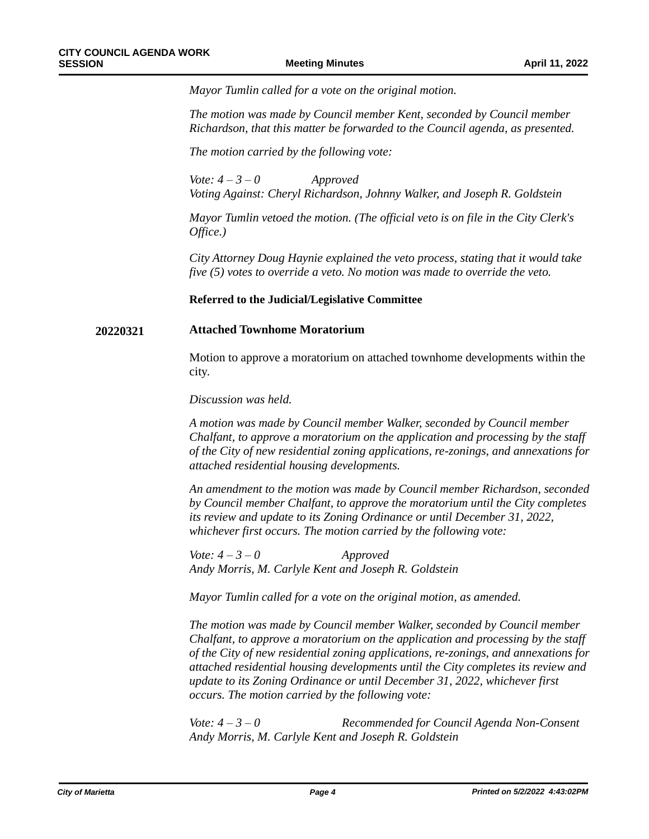*Mayor Tumlin called for a vote on the original motion.*

*The motion was made by Council member Kent, seconded by Council member Richardson, that this matter be forwarded to the Council agenda, as presented.*

*The motion carried by the following vote:*

*Vote: 4 – 3 – 0 Approved Voting Against: Cheryl Richardson, Johnny Walker, and Joseph R. Goldstein*

*Mayor Tumlin vetoed the motion. (The official veto is on file in the City Clerk's Office.)*

*City Attorney Doug Haynie explained the veto process, stating that it would take five (5) votes to override a veto. No motion was made to override the veto.*

### **Referred to the Judicial/Legislative Committee**

### **20220321 Attached Townhome Moratorium**

Motion to approve a moratorium on attached townhome developments within the city.

*Discussion was held.* 

*A motion was made by Council member Walker, seconded by Council member Chalfant, to approve a moratorium on the application and processing by the staff of the City of new residential zoning applications, re-zonings, and annexations for attached residential housing developments.* 

*An amendment to the motion was made by Council member Richardson, seconded by Council member Chalfant, to approve the moratorium until the City completes its review and update to its Zoning Ordinance or until December 31, 2022, whichever first occurs. The motion carried by the following vote:*

*Vote: 4 – 3 – 0 Approved Andy Morris, M. Carlyle Kent and Joseph R. Goldstein*

*Mayor Tumlin called for a vote on the original motion, as amended.*

*The motion was made by Council member Walker, seconded by Council member Chalfant, to approve a moratorium on the application and processing by the staff of the City of new residential zoning applications, re-zonings, and annexations for attached residential housing developments until the City completes its review and update to its Zoning Ordinance or until December 31, 2022, whichever first occurs. The motion carried by the following vote:*

*Vote: 4 – 3 – 0 Recommended for Council Agenda Non-Consent Andy Morris, M. Carlyle Kent and Joseph R. Goldstein*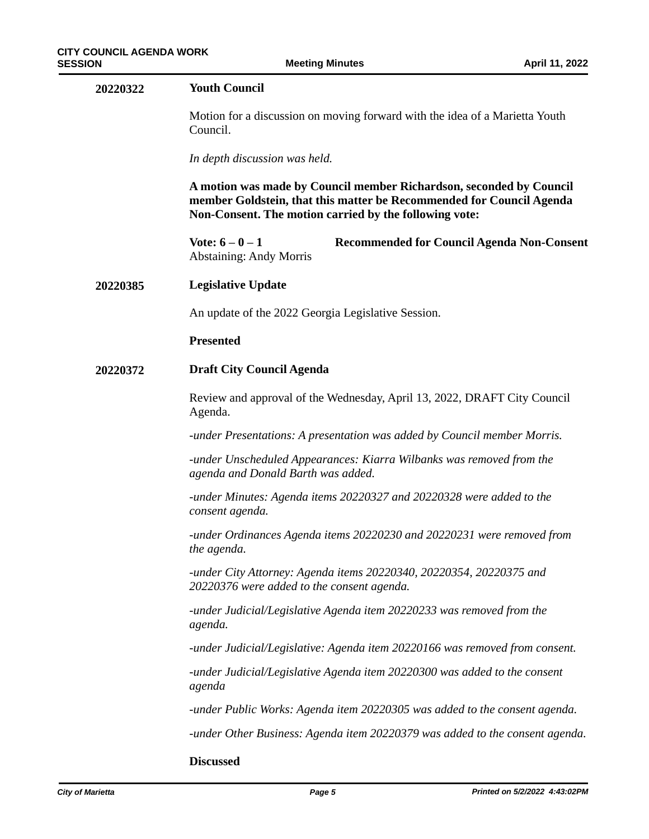| 20220322 | <b>Youth Council</b>                                                                                                                                                                                  |  |  |
|----------|-------------------------------------------------------------------------------------------------------------------------------------------------------------------------------------------------------|--|--|
|          | Motion for a discussion on moving forward with the idea of a Marietta Youth<br>Council.                                                                                                               |  |  |
|          | In depth discussion was held.                                                                                                                                                                         |  |  |
|          | A motion was made by Council member Richardson, seconded by Council<br>member Goldstein, that this matter be Recommended for Council Agenda<br>Non-Consent. The motion carried by the following vote: |  |  |
|          | Vote: $6 - 0 - 1$<br><b>Recommended for Council Agenda Non-Consent</b><br><b>Abstaining: Andy Morris</b>                                                                                              |  |  |
| 20220385 | <b>Legislative Update</b>                                                                                                                                                                             |  |  |
|          | An update of the 2022 Georgia Legislative Session.                                                                                                                                                    |  |  |
|          | <b>Presented</b>                                                                                                                                                                                      |  |  |
| 20220372 | <b>Draft City Council Agenda</b>                                                                                                                                                                      |  |  |
|          | Review and approval of the Wednesday, April 13, 2022, DRAFT City Council<br>Agenda.                                                                                                                   |  |  |
|          | -under Presentations: A presentation was added by Council member Morris.                                                                                                                              |  |  |
|          | -under Unscheduled Appearances: Kiarra Wilbanks was removed from the<br>agenda and Donald Barth was added.                                                                                            |  |  |
|          | -under Minutes: Agenda items 20220327 and 20220328 were added to the<br>consent agenda.                                                                                                               |  |  |
|          | -under Ordinances Agenda items 20220230 and 20220231 were removed from<br>the agenda.                                                                                                                 |  |  |
|          | -under City Attorney: Agenda items 20220340, 20220354, 20220375 and<br>20220376 were added to the consent agenda.                                                                                     |  |  |
|          | -under Judicial/Legislative Agenda item 20220233 was removed from the<br>agenda.                                                                                                                      |  |  |
|          | -under Judicial/Legislative: Agenda item 20220166 was removed from consent.                                                                                                                           |  |  |
|          | -under Judicial/Legislative Agenda item 20220300 was added to the consent<br>agenda                                                                                                                   |  |  |
|          | -under Public Works: Agenda item 20220305 was added to the consent agenda.                                                                                                                            |  |  |
|          | -under Other Business: Agenda item 20220379 was added to the consent agenda.                                                                                                                          |  |  |
|          |                                                                                                                                                                                                       |  |  |

### **Discussed**